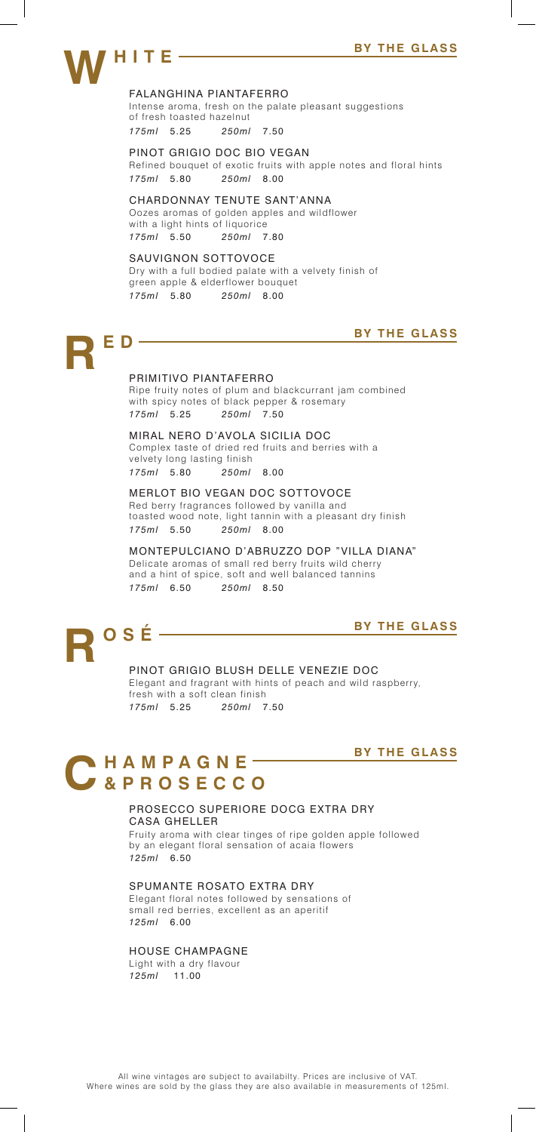### FALANGHINA PIANTAFERRO

Intense aroma, fresh on the palate pleasant suggestions of fresh toasted hazelnut *175ml* 5.25 *250ml* 7.50

Refined bouquet of exotic fruits with apple notes and floral hints *175ml* 5.80 *250ml* 8.00 PINOT GRIGIO DOC BIO VEGAN

### CHARDONNAY TENUTE SANT'ANNA

*175ml* 5.50 *250ml* 7.80 Oozes aromas of golden apples and wildflower with a light hints of liquorice

### SAUVIGNON SOTTOVOCE

Dry with a full bodied palate with a velvety finish of green apple & elderflower bouquet *175ml* 5.80 *250ml* 8.00

# **RED BY THE GLASS**

### PRIMITIVO PIANTAFERRO

Ripe fruity notes of plum and blackcurrant jam combined with spicy notes of black pepper & rosemary *175ml* 5.25 *250ml* 7.50

### MIRAL NERO D'AVOLA SICILIA DOC

Complex taste of dried red fruits and berries with a velvety long lasting finish *175ml* 5.80 *250ml* 8.00

### MERLOT BIO VEGAN DOC SOTTOVOCE

Red berry fragrances followed by vanilla and toasted wood note, light tannin with a pleasant dry finish *175ml* 5.50 *250ml* 8.00

MONTEPULCIANO D'ABRUZZO DOP "VILLA DIANA" Delicate aromas of small red berry fruits wild cherry and a hint of spice, soft and well balanced tannins *175ml* 6.50 *250ml* 8.50

## **REQUASE BY THE GLASS**

PINOT GRIGIO BLUSH DELLE VENEZIE DOC Elegant and fragrant with hints of peach and wild raspberry, fresh with a soft clean finish *175ml* 5.25 *250ml* 7.50

### **BY THE GLASS**

 $\overline{\phantom{a}}$ 

## CHAMPAGNE-

### PROSECCO SUPERIORE DOCG EXTRA DRY CASA GHELLER

Fruity aroma with clear tinges of ripe golden apple followed by an elegant floral sensation of acaia flowers *125ml* 6.50

### SPUMANTE ROSATO EXTRA DRY

Elegant floral notes followed by sensations of small red berries, excellent as an aperitif *125ml* 6.00

### HOUSE CHAMPAGNE

Light with a dry flavour *125ml* 11.00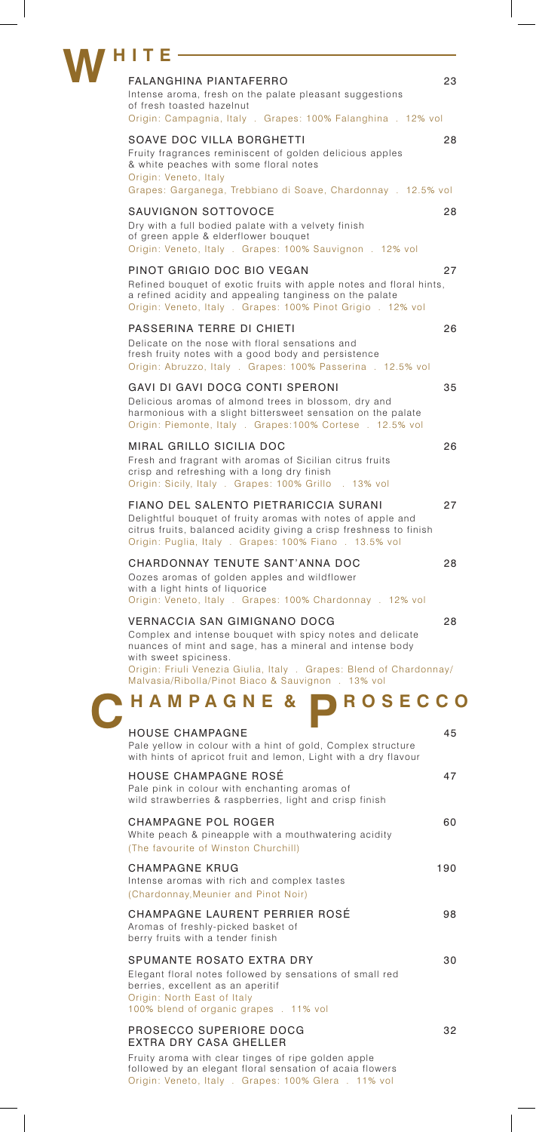| HITE                                                                                                                                                                                                                                                                                                               |     |
|--------------------------------------------------------------------------------------------------------------------------------------------------------------------------------------------------------------------------------------------------------------------------------------------------------------------|-----|
| FALANGHINA PIANTAFERRO                                                                                                                                                                                                                                                                                             | 23  |
| Intense aroma, fresh on the palate pleasant suggestions<br>of fresh toasted hazelnut<br>Origin: Campagnia, Italy . Grapes: 100% Falanghina . 12% vol                                                                                                                                                               |     |
|                                                                                                                                                                                                                                                                                                                    |     |
| SOAVE DOC VILLA BORGHETTI<br>Fruity fragrances reminiscent of golden delicious apples<br>& white peaches with some floral notes<br>Origin: Veneto, Italy<br>Grapes: Garganega, Trebbiano di Soave, Chardonnay . 12.5% vol                                                                                          | 28  |
|                                                                                                                                                                                                                                                                                                                    |     |
| SAUVIGNON SOTTOVOCE<br>Dry with a full bodied palate with a velvety finish<br>of green apple & elderflower bouquet<br>Origin: Veneto, Italy . Grapes: 100% Sauvignon . 12% vol                                                                                                                                     | 28  |
| PINOT GRIGIO DOC BIO VEGAN<br>Refined bouquet of exotic fruits with apple notes and floral hints,<br>a refined acidity and appealing tanginess on the palate<br>Origin: Veneto, Italy . Grapes: 100% Pinot Grigio . 12% vol                                                                                        | 27  |
| PASSERINA TERRE DI CHIETI                                                                                                                                                                                                                                                                                          | 26  |
| Delicate on the nose with floral sensations and<br>fresh fruity notes with a good body and persistence<br>Origin: Abruzzo, Italy . Grapes: 100% Passerina . 12.5% vol                                                                                                                                              |     |
| GAVI DI GAVI DOCG CONTI SPERONI                                                                                                                                                                                                                                                                                    | 35  |
| Delicious aromas of almond trees in blossom, dry and<br>harmonious with a slight bittersweet sensation on the palate<br>Origin: Piemonte, Italy . Grapes: 100% Cortese . 12.5% vol                                                                                                                                 |     |
| MIRAL GRILLO SICILIA DOC                                                                                                                                                                                                                                                                                           | 26  |
| Fresh and fragrant with aromas of Sicilian citrus fruits<br>crisp and refreshing with a long dry finish<br>Origin: Sicily, Italy . Grapes: 100% Grillo . 13% vol                                                                                                                                                   |     |
| FIANO DEL SALENTO PIETRARICCIA SURANI<br>Delightful bouquet of fruity aromas with notes of apple and<br>citrus fruits, balanced acidity giving a crisp freshness to finish<br>Origin: Puglia, Italy . Grapes: 100% Fiano . 13.5% vol                                                                               | 27  |
| CHARDONNAY TENUTE SANT'ANNA DOC<br>Oozes aromas of golden apples and wildflower<br>with a light hints of liquorice<br>Origin: Veneto, Italy . Grapes: 100% Chardonnay . 12% vol                                                                                                                                    | 28  |
| <b>VERNACCIA SAN GIMIGNANO DOCG</b><br>Complex and intense bouquet with spicy notes and delicate<br>nuances of mint and sage, has a mineral and intense body<br>with sweet spiciness.<br>Origin: Friuli Venezia Giulia, Italy . Grapes: Blend of Chardonnay/<br>Malvasia/Ribolla/Pinot Biaco & Sauvignon . 13% vol | 28  |
| <b>ROSECCO</b><br>HAMPAGNE &                                                                                                                                                                                                                                                                                       |     |
| <b>HOUSE CHAMPAGNE</b>                                                                                                                                                                                                                                                                                             | 45  |
| Pale yellow in colour with a hint of gold, Complex structure<br>with hints of apricot fruit and lemon, Light with a dry flavour                                                                                                                                                                                    |     |
| HOUSE CHAMPAGNE ROSÉ<br>Pale pink in colour with enchanting aromas of<br>wild strawberries & raspberries, light and crisp finish                                                                                                                                                                                   | 47  |
| CHAMPAGNE POL ROGER<br>White peach & pineapple with a mouthwatering acidity<br>(The favourite of Winston Churchill)                                                                                                                                                                                                | 60  |
| <b>CHAMPAGNE KRUG</b><br>Intense aromas with rich and complex tastes<br>(Chardonnay, Meunier and Pinot Noir)                                                                                                                                                                                                       | 190 |
| CHAMPAGNE LAURENT PERRIER ROSÉ<br>Aromas of freshly-picked basket of<br>berry fruits with a tender finish                                                                                                                                                                                                          | 98  |
| SPUMANTE ROSATO EXTRA DRY<br>Elegant floral notes followed by sensations of small red<br>berries, excellent as an aperitif<br>Origin: North East of Italy<br>100% blend of organic grapes . 11% vol                                                                                                                | 30  |
| PROSECCO SUPERIORE DOCG                                                                                                                                                                                                                                                                                            | 32  |
| EXTRA DRY CASA GHELLER<br>Fruity aroma with clear tinges of ripe golden apple                                                                                                                                                                                                                                      |     |
| followed by an elegant floral sensation of acaia flowers<br>Origin: Veneto, Italy . Grapes: 100% Glera . 11% vol                                                                                                                                                                                                   |     |

 $\overline{\phantom{a}}$ 

 $\overline{\phantom{a}}$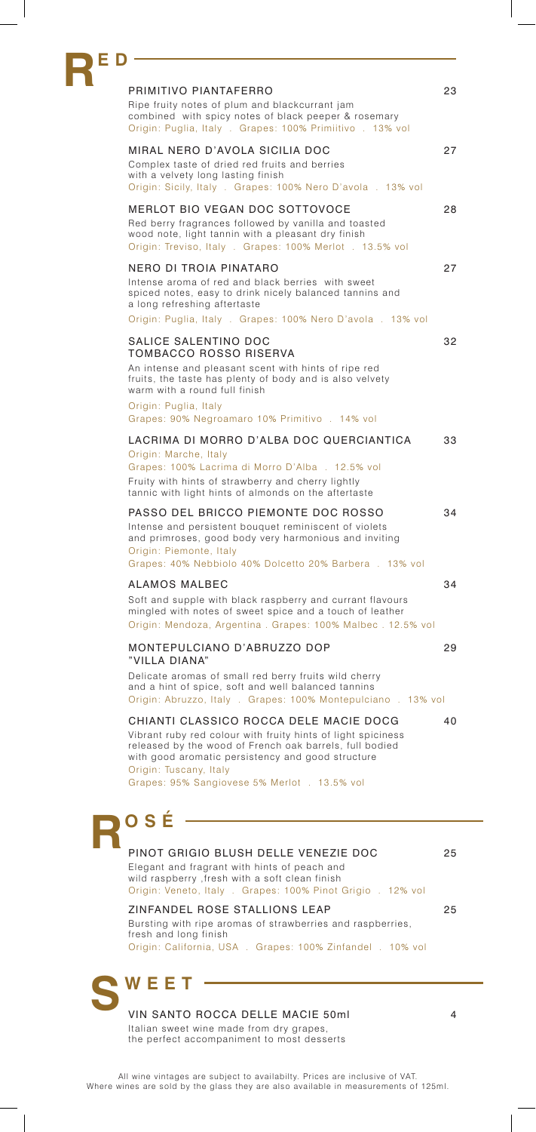| E D |                                                                                                                                                                                                                                                                                                  |    |
|-----|--------------------------------------------------------------------------------------------------------------------------------------------------------------------------------------------------------------------------------------------------------------------------------------------------|----|
|     | PRIMITIVO PIANTAFERRO<br>Ripe fruity notes of plum and blackcurrant jam<br>combined with spicy notes of black peeper & rosemary<br>Origin: Puglia, Italy . Grapes: 100% Primiitivo . 13% vol                                                                                                     | 23 |
|     | MIRAL NERO D'AVOLA SICILIA DOC<br>Complex taste of dried red fruits and berries<br>with a velvety long lasting finish<br>Origin: Sicily, Italy . Grapes: 100% Nero D'avola . 13% vol                                                                                                             | 27 |
|     | <b>MERLOT BIO VEGAN DOC SOTTOVOCE</b><br>Red berry fragrances followed by vanilla and toasted<br>wood note, light tannin with a pleasant dry finish<br>Origin: Treviso, Italy . Grapes: 100% Merlot . 13.5% vol                                                                                  | 28 |
|     | NERO DI TROIA PINATARO<br>Intense aroma of red and black berries with sweet<br>spiced notes, easy to drink nicely balanced tannins and<br>a long refreshing aftertaste<br>Origin: Puglia, Italy . Grapes: 100% Nero D'avola . 13% vol                                                            | 27 |
|     | SALICE SALENTINO DOC<br><b>TOMBACCO ROSSO RISERVA</b><br>An intense and pleasant scent with hints of ripe red<br>fruits, the taste has plenty of body and is also velvety<br>warm with a round full finish<br>Origin: Puglia, Italy<br>Grapes: 90% Negroamaro 10% Primitivo. 14% vol             | 32 |
|     | LACRIMA DI MORRO D'ALBA DOC QUERCIANTICA<br>Origin: Marche, Italy<br>Grapes: 100% Lacrima di Morro D'Alba. 12.5% vol<br>Fruity with hints of strawberry and cherry lightly<br>tannic with light hints of almonds on the aftertaste                                                               | 33 |
|     | PASSO DEL BRICCO PIEMONTE DOC ROSSO<br>Intense and persistent bouquet reminiscent of violets<br>and primroses, good body very harmonious and inviting<br>Origin: Piemonte, Italy<br>Grapes: 40% Nebbiolo 40% Dolcetto 20% Barbera . 13% vol                                                      | 34 |
|     | ALAMOS MALBEC<br>Soft and supple with black raspberry and currant flavours<br>mingled with notes of sweet spice and a touch of leather<br>Origin: Mendoza, Argentina. Grapes: 100% Malbec. 12.5% vol                                                                                             | 34 |
|     | MONTEPULCIANO D'ABRUZZO DOP<br>"VILLA DIANA"                                                                                                                                                                                                                                                     | 29 |
|     | Delicate aromas of small red berry fruits wild cherry<br>and a hint of spice, soft and well balanced tannins<br>Origin: Abruzzo, Italy . Grapes: 100% Montepulciano . 13% vol                                                                                                                    |    |
|     | CHIANTI CLASSICO ROCCA DELE MACIE DOCG<br>Vibrant ruby red colour with fruity hints of light spiciness<br>released by the wood of French oak barrels, full bodied<br>with good aromatic persistency and good structure<br>Origin: Tuscany, Italy<br>Grapes: 95% Sangiovese 5% Merlot . 13.5% vol | 40 |
|     | OSÉ                                                                                                                                                                                                                                                                                              |    |
|     | PINOT GRIGIO BLUSH DELLE VENEZIE DOC<br>Elegant and fragrant with hints of peach and<br>wild raspberry , fresh with a soft clean finish<br>Origin: Veneto, Italy . Grapes: 100% Pinot Grigio . 12% vol                                                                                           | 25 |
|     | ZINFANDEL ROSE STALLIONS LEAP<br>Bursting with ripe aromas of strawberries and raspberries,<br>fresh and long finish<br>Origin: California, USA . Grapes: 100% Zinfandel . 10% vol                                                                                                               | 25 |
|     |                                                                                                                                                                                                                                                                                                  |    |

VIN SANTO ROCCA DELLE MACIE 50ml 4 Italian sweet wine made from dry grapes, the perfect accompaniment to most desserts

 $\overline{\phantom{a}}$ 

 $\overline{\phantom{a}}$